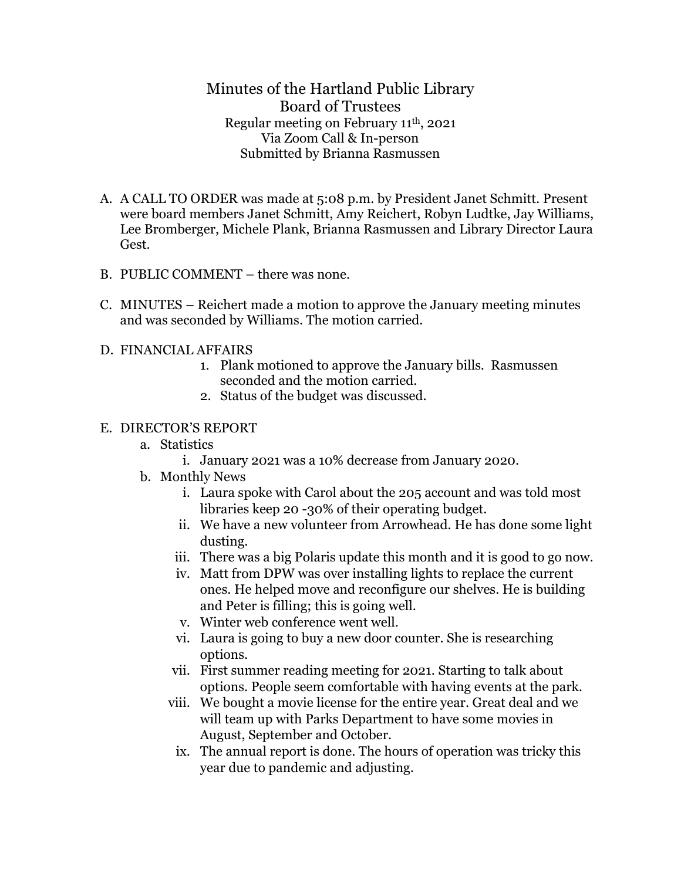Minutes of the Hartland Public Library Board of Trustees Regular meeting on February 11th, 2021 Via Zoom Call & In-person Submitted by Brianna Rasmussen

- A. A CALL TO ORDER was made at 5:08 p.m. by President Janet Schmitt. Present were board members Janet Schmitt, Amy Reichert, Robyn Ludtke, Jay Williams, Lee Bromberger, Michele Plank, Brianna Rasmussen and Library Director Laura Gest.
- B. PUBLIC COMMENT there was none.
- C. MINUTES Reichert made a motion to approve the January meeting minutes and was seconded by Williams. The motion carried.
- D. FINANCIAL AFFAIRS
	- 1. Plank motioned to approve the January bills. Rasmussen seconded and the motion carried.
	- 2. Status of the budget was discussed.

## E. DIRECTOR'S REPORT

- a. Statistics
	- i. January 2021 was a 10% decrease from January 2020.
- b. Monthly News
	- i. Laura spoke with Carol about the 205 account and was told most libraries keep 20 -30% of their operating budget.
	- ii. We have a new volunteer from Arrowhead. He has done some light dusting.
	- iii. There was a big Polaris update this month and it is good to go now.
	- iv. Matt from DPW was over installing lights to replace the current ones. He helped move and reconfigure our shelves. He is building and Peter is filling; this is going well.
	- v. Winter web conference went well.
	- vi. Laura is going to buy a new door counter. She is researching options.
	- vii. First summer reading meeting for 2021. Starting to talk about options. People seem comfortable with having events at the park.
	- viii. We bought a movie license for the entire year. Great deal and we will team up with Parks Department to have some movies in August, September and October.
	- ix. The annual report is done. The hours of operation was tricky this year due to pandemic and adjusting.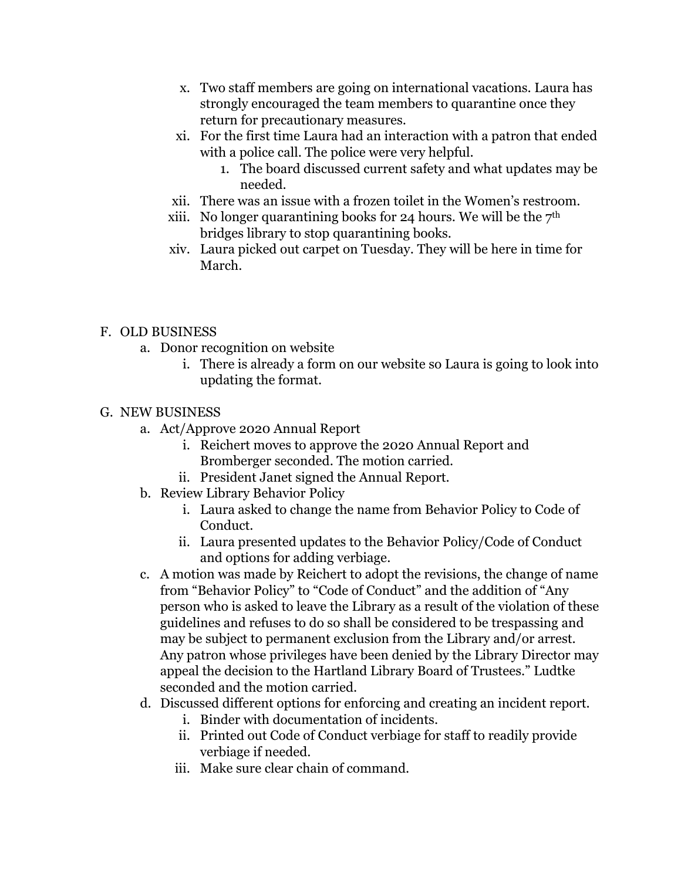- x. Two staff members are going on international vacations. Laura has strongly encouraged the team members to quarantine once they return for precautionary measures.
- xi. For the first time Laura had an interaction with a patron that ended with a police call. The police were very helpful.
	- 1. The board discussed current safety and what updates may be needed.
- xii. There was an issue with a frozen toilet in the Women's restroom.
- xiii. No longer quarantining books for 24 hours. We will be the  $7<sup>th</sup>$ bridges library to stop quarantining books.
- xiv. Laura picked out carpet on Tuesday. They will be here in time for March.

## F. OLD BUSINESS

- a. Donor recognition on website
	- i. There is already a form on our website so Laura is going to look into updating the format.

## G. NEW BUSINESS

- a. Act/Approve 2020 Annual Report
	- i. Reichert moves to approve the 2020 Annual Report and Bromberger seconded. The motion carried.
	- ii. President Janet signed the Annual Report.
- b. Review Library Behavior Policy
	- i. Laura asked to change the name from Behavior Policy to Code of Conduct.
	- ii. Laura presented updates to the Behavior Policy/Code of Conduct and options for adding verbiage.
- c. A motion was made by Reichert to adopt the revisions, the change of name from "Behavior Policy" to "Code of Conduct" and the addition of "Any person who is asked to leave the Library as a result of the violation of these guidelines and refuses to do so shall be considered to be trespassing and may be subject to permanent exclusion from the Library and/or arrest. Any patron whose privileges have been denied by the Library Director may appeal the decision to the Hartland Library Board of Trustees." Ludtke seconded and the motion carried.
- d. Discussed different options for enforcing and creating an incident report.
	- i. Binder with documentation of incidents.
	- ii. Printed out Code of Conduct verbiage for staff to readily provide verbiage if needed.
	- iii. Make sure clear chain of command.